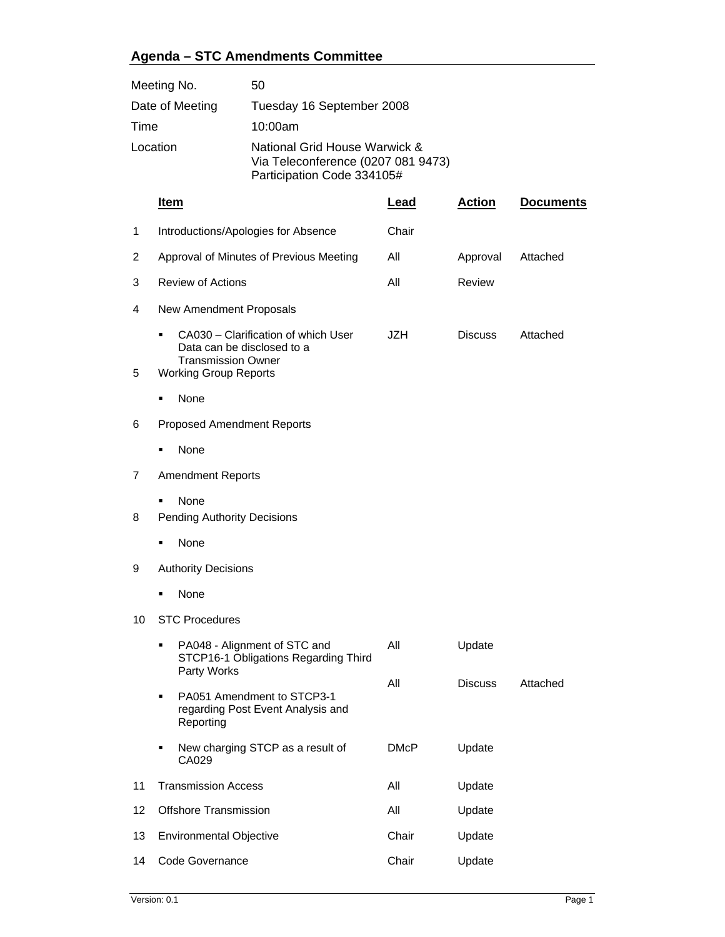## **Agenda – STC Amendments Committee**

| Meeting No.     | 50                                                                                                |
|-----------------|---------------------------------------------------------------------------------------------------|
| Date of Meeting | Tuesday 16 September 2008                                                                         |
| Time            | 10:00am                                                                                           |
| Location        | National Grid House Warwick &<br>Via Teleconference (0207 081 9473)<br>Participation Code 334105# |

|    | Item                                                                                                                           | <u>Lead</u> | <b>Action</b>  | <b>Documents</b> |
|----|--------------------------------------------------------------------------------------------------------------------------------|-------------|----------------|------------------|
| 1  | Introductions/Apologies for Absence                                                                                            | Chair       |                |                  |
| 2  | Approval of Minutes of Previous Meeting                                                                                        | All         | Approval       | Attached         |
| 3  | <b>Review of Actions</b>                                                                                                       | All         | Review         |                  |
| 4  | New Amendment Proposals                                                                                                        |             |                |                  |
| 5  | CA030 - Clarification of which User<br>Data can be disclosed to a<br><b>Transmission Owner</b><br><b>Working Group Reports</b> | <b>JZH</b>  | <b>Discuss</b> | Attached         |
|    | None                                                                                                                           |             |                |                  |
| 6  | <b>Proposed Amendment Reports</b>                                                                                              |             |                |                  |
|    | None                                                                                                                           |             |                |                  |
| 7  | <b>Amendment Reports</b>                                                                                                       |             |                |                  |
| 8  | <b>None</b><br><b>Pending Authority Decisions</b>                                                                              |             |                |                  |
|    | None                                                                                                                           |             |                |                  |
| 9  | <b>Authority Decisions</b>                                                                                                     |             |                |                  |
|    | None                                                                                                                           |             |                |                  |
| 10 | <b>STC Procedures</b>                                                                                                          |             |                |                  |
|    | PA048 - Alignment of STC and<br>٠<br>STCP16-1 Obligations Regarding Third<br>Party Works                                       | All         | Update         |                  |
|    | PA051 Amendment to STCP3-1<br>п<br>regarding Post Event Analysis and<br>Reporting                                              | All         | <b>Discuss</b> | Attached         |
|    | New charging STCP as a result of<br>CA029                                                                                      | <b>DMcP</b> | Update         |                  |
| 11 | <b>Transmission Access</b>                                                                                                     | All         | Update         |                  |
| 12 | <b>Offshore Transmission</b>                                                                                                   | All         | Update         |                  |
| 13 | <b>Environmental Objective</b>                                                                                                 | Chair       | Update         |                  |
| 14 | Code Governance                                                                                                                | Chair       | Update         |                  |